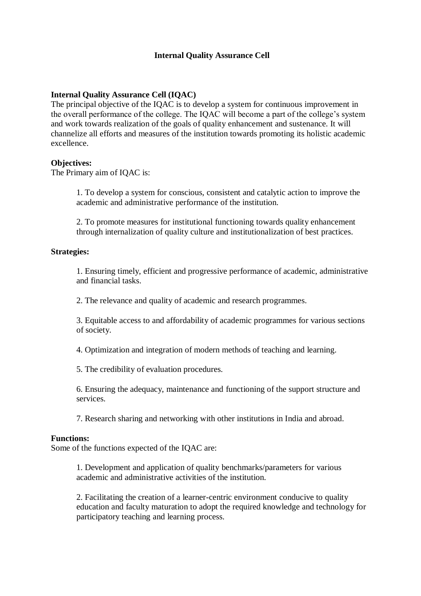### **Internal Quality Assurance Cell**

# **Internal Quality Assurance Cell (IQAC)**

The principal objective of the IQAC is to develop a system for continuous improvement in the overall performance of the college. The IQAC will become a part of the college's system and work towards realization of the goals of quality enhancement and sustenance. It will channelize all efforts and measures of the institution towards promoting its holistic academic excellence.

#### **Objectives:**

The Primary aim of IQAC is:

1. To develop a system for conscious, consistent and catalytic action to improve the academic and administrative performance of the institution.

2. To promote measures for institutional functioning towards quality enhancement through internalization of quality culture and institutionalization of best practices.

# **Strategies:**

1. Ensuring timely, efficient and progressive performance of academic, administrative and financial tasks.

2. The relevance and quality of academic and research programmes.

3. Equitable access to and affordability of academic programmes for various sections of society.

4. Optimization and integration of modern methods of teaching and learning.

5. The credibility of evaluation procedures.

6. Ensuring the adequacy, maintenance and functioning of the support structure and services.

7. Research sharing and networking with other institutions in India and abroad.

#### **Functions:**

Some of the functions expected of the IQAC are:

1. Development and application of quality benchmarks/parameters for various academic and administrative activities of the institution.

2. Facilitating the creation of a learner-centric environment conducive to quality education and faculty maturation to adopt the required knowledge and technology for participatory teaching and learning process.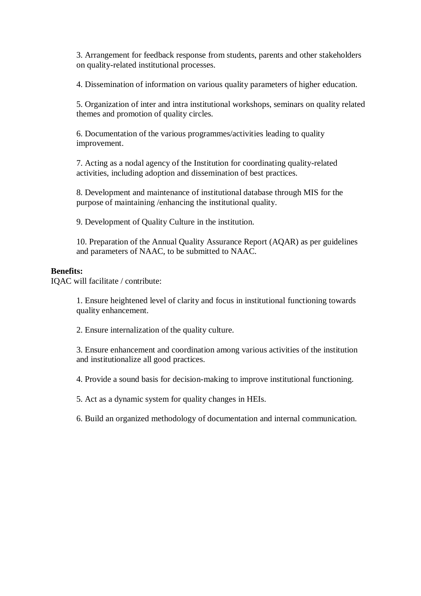3. Arrangement for feedback response from students, parents and other stakeholders on quality-related institutional processes.

4. Dissemination of information on various quality parameters of higher education.

5. Organization of inter and intra institutional workshops, seminars on quality related themes and promotion of quality circles.

6. Documentation of the various programmes/activities leading to quality improvement.

7. Acting as a nodal agency of the Institution for coordinating quality-related activities, including adoption and dissemination of best practices.

8. Development and maintenance of institutional database through MIS for the purpose of maintaining /enhancing the institutional quality.

9. Development of Quality Culture in the institution.

10. Preparation of the Annual Quality Assurance Report (AQAR) as per guidelines and parameters of NAAC, to be submitted to NAAC.

#### **Benefits:**

IQAC will facilitate / contribute:

1. Ensure heightened level of clarity and focus in institutional functioning towards quality enhancement.

2. Ensure internalization of the quality culture.

3. Ensure enhancement and coordination among various activities of the institution and institutionalize all good practices.

4. Provide a sound basis for decision-making to improve institutional functioning.

5. Act as a dynamic system for quality changes in HEIs.

6. Build an organized methodology of documentation and internal communication.